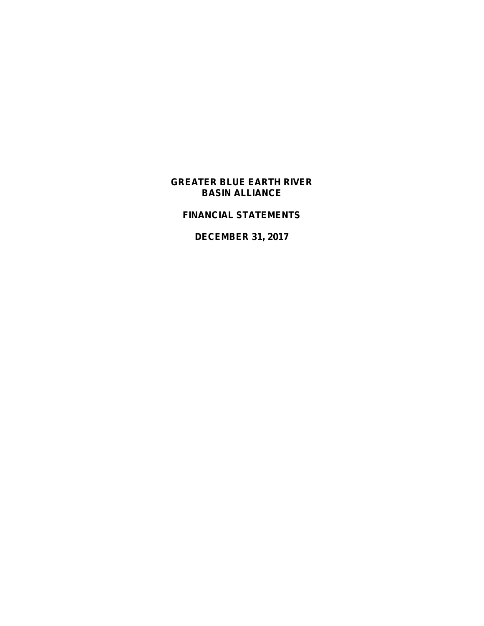## **GREATER BLUE EARTH RIVER BASIN ALLIANCE**

## **FINANCIAL STATEMENTS**

**DECEMBER 31, 2017**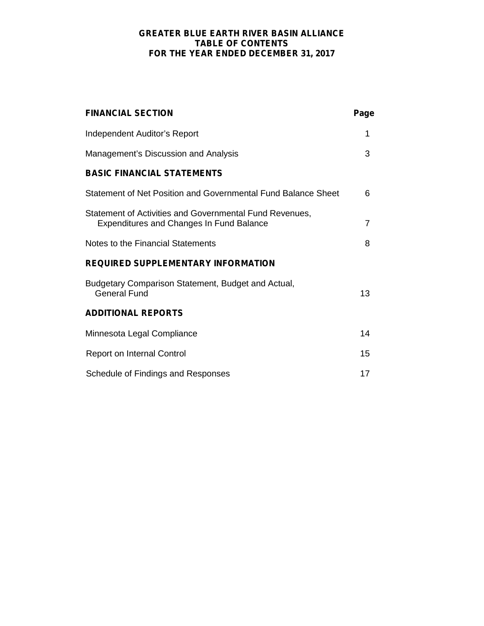## **GREATER BLUE EARTH RIVER BASIN ALLIANCE TABLE OF CONTENTS FOR THE YEAR ENDED DECEMBER 31, 2017**

| <b>FINANCIAL SECTION</b>                                                                                   | Page           |
|------------------------------------------------------------------------------------------------------------|----------------|
| Independent Auditor's Report                                                                               | 1              |
| Management's Discussion and Analysis                                                                       | 3              |
| <b>BASIC FINANCIAL STATEMENTS</b>                                                                          |                |
| Statement of Net Position and Governmental Fund Balance Sheet                                              | 6              |
| Statement of Activities and Governmental Fund Revenues,<br><b>Expenditures and Changes In Fund Balance</b> | $\overline{7}$ |
| Notes to the Financial Statements                                                                          | 8              |
| <b>REQUIRED SUPPLEMENTARY INFORMATION</b>                                                                  |                |
| Budgetary Comparison Statement, Budget and Actual,<br><b>General Fund</b>                                  | 13             |
| <b>ADDITIONAL REPORTS</b>                                                                                  |                |
| Minnesota Legal Compliance                                                                                 | 14             |
| <b>Report on Internal Control</b>                                                                          | 15             |
| Schedule of Findings and Responses                                                                         | 17             |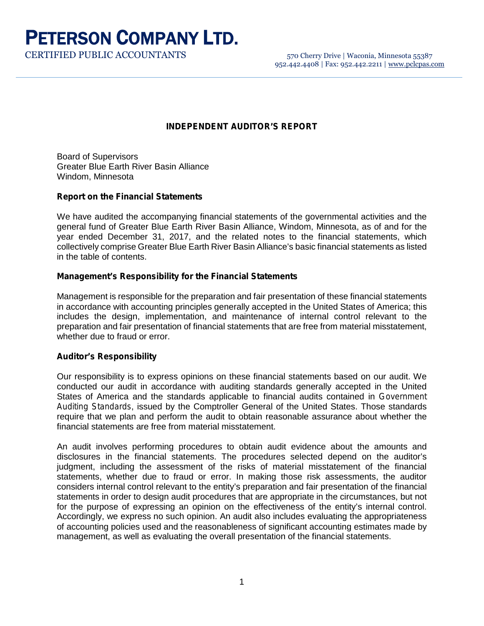**PETERSON COMPANY LTD.**

## **INDEPENDENT AUDITOR'S REPORT**

Board of Supervisors Greater Blue Earth River Basin Alliance Windom, Minnesota

## **Report on the Financial Statements**

We have audited the accompanying financial statements of the governmental activities and the general fund of Greater Blue Earth River Basin Alliance, Windom, Minnesota, as of and for the year ended December 31, 2017, and the related notes to the financial statements, which collectively comprise Greater Blue Earth River Basin Alliance's basic financial statements as listed in the table of contents.

## **Management's Responsibility for the Financial Statements**

Management is responsible for the preparation and fair presentation of these financial statements in accordance with accounting principles generally accepted in the United States of America; this includes the design, implementation, and maintenance of internal control relevant to the preparation and fair presentation of financial statements that are free from material misstatement, whether due to fraud or error.

## **Auditor's Responsibility**

Our responsibility is to express opinions on these financial statements based on our audit. We conducted our audit in accordance with auditing standards generally accepted in the United States of America and the standards applicable to financial audits contained in *Government Auditing Standards*, issued by the Comptroller General of the United States. Those standards require that we plan and perform the audit to obtain reasonable assurance about whether the financial statements are free from material misstatement.

An audit involves performing procedures to obtain audit evidence about the amounts and disclosures in the financial statements. The procedures selected depend on the auditor's judgment, including the assessment of the risks of material misstatement of the financial statements, whether due to fraud or error. In making those risk assessments, the auditor considers internal control relevant to the entity's preparation and fair presentation of the financial statements in order to design audit procedures that are appropriate in the circumstances, but not for the purpose of expressing an opinion on the effectiveness of the entity's internal control. Accordingly, we express no such opinion. An audit also includes evaluating the appropriateness of accounting policies used and the reasonableness of significant accounting estimates made by management, as well as evaluating the overall presentation of the financial statements.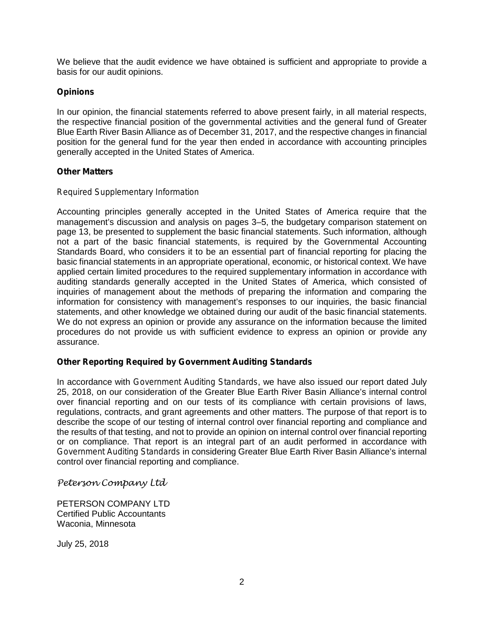We believe that the audit evidence we have obtained is sufficient and appropriate to provide a basis for our audit opinions.

## **Opinions**

In our opinion, the financial statements referred to above present fairly, in all material respects, the respective financial position of the governmental activities and the general fund of Greater Blue Earth River Basin Alliance as of December 31, 2017, and the respective changes in financial position for the general fund for the year then ended in accordance with accounting principles generally accepted in the United States of America.

#### **Other Matters**

#### *Required Supplementary Information*

Accounting principles generally accepted in the United States of America require that the management's discussion and analysis on pages 3–5, the budgetary comparison statement on page 13, be presented to supplement the basic financial statements. Such information, although not a part of the basic financial statements, is required by the Governmental Accounting Standards Board, who considers it to be an essential part of financial reporting for placing the basic financial statements in an appropriate operational, economic, or historical context. We have applied certain limited procedures to the required supplementary information in accordance with auditing standards generally accepted in the United States of America, which consisted of inquiries of management about the methods of preparing the information and comparing the information for consistency with management's responses to our inquiries, the basic financial statements, and other knowledge we obtained during our audit of the basic financial statements. We do not express an opinion or provide any assurance on the information because the limited procedures do not provide us with sufficient evidence to express an opinion or provide any assurance.

## **Other Reporting Required by** *Government Auditing Standards*

In accordance with *Government Auditing Standards*, we have also issued our report dated July 25, 2018, on our consideration of the Greater Blue Earth River Basin Alliance's internal control over financial reporting and on our tests of its compliance with certain provisions of laws, regulations, contracts, and grant agreements and other matters. The purpose of that report is to describe the scope of our testing of internal control over financial reporting and compliance and the results of that testing, and not to provide an opinion on internal control over financial reporting or on compliance. That report is an integral part of an audit performed in accordance with *Government Auditing Standards* in considering Greater Blue Earth River Basin Alliance's internal control over financial reporting and compliance.

Peterson Company Ltd

PETERSON COMPANY LTD Certified Public Accountants Waconia, Minnesota

July 25, 2018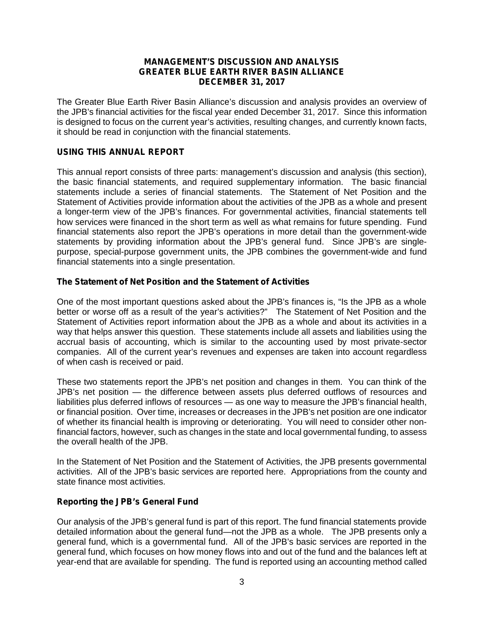## **MANAGEMENT'S DISCUSSION AND ANALYSIS GREATER BLUE EARTH RIVER BASIN ALLIANCE DECEMBER 31, 2017**

The Greater Blue Earth River Basin Alliance's discussion and analysis provides an overview of the JPB's financial activities for the fiscal year ended December 31, 2017. Since this information is designed to focus on the current year's activities, resulting changes, and currently known facts, it should be read in conjunction with the financial statements.

## **USING THIS ANNUAL REPORT**

This annual report consists of three parts: management's discussion and analysis (this section), the basic financial statements, and required supplementary information. The basic financial statements include a series of financial statements. The Statement of Net Position and the Statement of Activities provide information about the activities of the JPB as a whole and present a longer-term view of the JPB's finances. For governmental activities, financial statements tell how services were financed in the short term as well as what remains for future spending. Fund financial statements also report the JPB's operations in more detail than the government-wide statements by providing information about the JPB's general fund. Since JPB's are single purpose, special-purpose government units, the JPB combines the government-wide and fund financial statements into a single presentation.

## **The Statement of Net Position and the Statement of Activities**

One of the most important questions asked about the JPB's finances is, "Is the JPB as a whole better or worse off as a result of the year's activities?" The Statement of Net Position and the Statement of Activities report information about the JPB as a whole and about its activities in a way that helps answer this question. These statements include all assets and liabilities using the accrual basis of accounting, which is similar to the accounting used by most private-sector companies. All of the current year's revenues and expenses are taken into account regardless of when cash is received or paid.

These two statements report the JPB's net position and changes in them. You can think of the JPB's net position — the difference between assets plus deferred outflows of resources and liabilities plus deferred inflows of resources — as one way to measure the JPB's financial health, or financial position. Over time, increases or decreases in the JPB's net position are one indicator of whether its financial health is improving or deteriorating. You will need to consider other nonfinancial factors, however, such as changes in the state and local governmental funding, to assess the overall health of the JPB.

In the Statement of Net Position and the Statement of Activities, the JPB presents governmental activities. All of the JPB's basic services are reported here. Appropriations from the county and state finance most activities.

## **Reporting the JPB's General Fund**

Our analysis of the JPB's general fund is part of this report. The fund financial statements provide detailed information about the general fund—not the JPB as a whole. The JPB presents only a general fund, which is a governmental fund. All of the JPB's basic services are reported in the general fund, which focuses on how money flows into and out of the fund and the balances left at year-end that are available for spending. The fund is reported using an accounting method called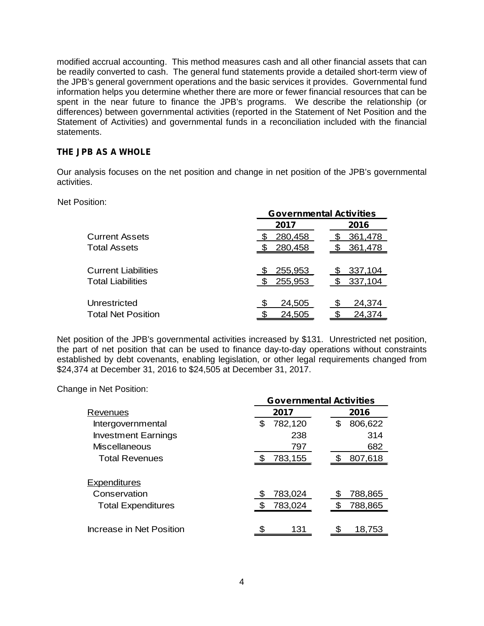modified accrual accounting. This method measures cash and all other financial assets that can be readily converted to cash. The general fund statements provide a detailed short-term view of the JPB's general government operations and the basic services it provides. Governmental fund information helps you determine whether there are more or fewer financial resources that can be spent in the near future to finance the JPB's programs. We describe the relationship (or differences) between governmental activities (reported in the Statement of Net Position and the Statement of Activities) and governmental funds in a reconciliation included with the financial statements.

## **THE JPB AS A WHOLE**

Our analysis focuses on the net position and change in net position of the JPB's governmental activities.

Net Position:

|                                                        |                    | <b>Governmental Activities</b> |  |  |
|--------------------------------------------------------|--------------------|--------------------------------|--|--|
|                                                        | 2017               | 2016                           |  |  |
| <b>Current Assets</b>                                  | 280,458            | 361,478                        |  |  |
| <b>Total Assets</b>                                    | 280,458            | 361,478                        |  |  |
| <b>Current Liabilities</b><br><b>Total Liabilities</b> | 255,953<br>255,953 | 337,104<br>\$337,104           |  |  |
|                                                        |                    |                                |  |  |
| Unrestricted                                           | 24,505             | 24,374                         |  |  |
| <b>Total Net Position</b>                              | 24,505             | 24,374                         |  |  |

Net position of the JPB's governmental activities increased by \$131. Unrestricted net position, the part of net position that can be used to finance day-to-day operations without constraints established by debt covenants, enabling legislation, or other legal requirements changed from \$24,374 at December 31, 2016 to \$24,505 at December 31, 2017.

Change in Net Position:

|                                     | <b>Governmental Activities</b> |         |    |         |  |  |
|-------------------------------------|--------------------------------|---------|----|---------|--|--|
| Revenues                            | 2017                           |         |    | 2016    |  |  |
| Intergovernmental                   | S                              | 782,120 | \$ | 806,622 |  |  |
| <b>Investment Earnings</b>          |                                | 238     |    | 314     |  |  |
| Miscellaneous                       |                                | 797     |    | 682     |  |  |
| <b>Total Revenues</b>               |                                | 783,155 |    | 807,618 |  |  |
| <b>Expenditures</b><br>Conservation |                                | 783,024 | S  | 788,865 |  |  |
| <b>Total Expenditures</b>           |                                | 783,024 |    | 788,865 |  |  |
| Increase in Net Position            |                                | 131     |    | 18,753  |  |  |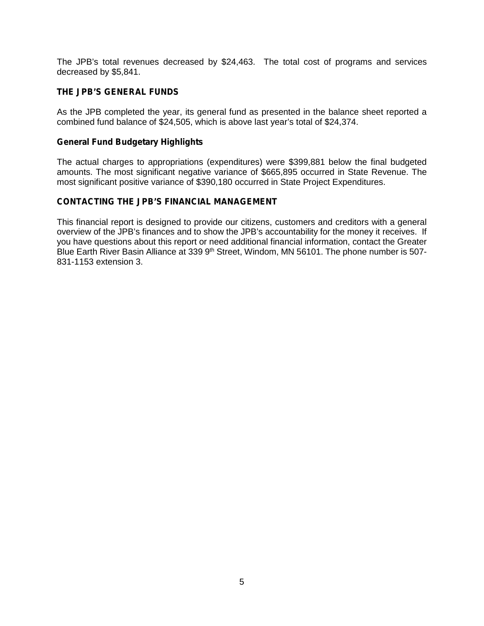The JPB's total revenues decreased by \$24,463. The total cost of programs and services decreased by \$5,841.

## **THE JPB'S GENERAL FUNDS**

As the JPB completed the year, its general fund as presented in the balance sheet reported a combined fund balance of \$24,505, which is above last year's total of \$24,374.

## **General Fund Budgetary Highlights**

The actual charges to appropriations (expenditures) were \$399,881 below the final budgeted amounts. The most significant negative variance of \$665,895 occurred in State Revenue. The most significant positive variance of \$390,180 occurred in State Project Expenditures.

## **CONTACTING THE JPB'S FINANCIAL MANAGEMENT**

This financial report is designed to provide our citizens, customers and creditors with a general overview of the JPB's finances and to show the JPB's accountability for the money it receives. If you have questions about this report or need additional financial information, contact the Greater Blue Earth River Basin Alliance at 339 9<sup>th</sup> Street, Windom, MN 56101. The phone number is 507-831-1153 extension 3.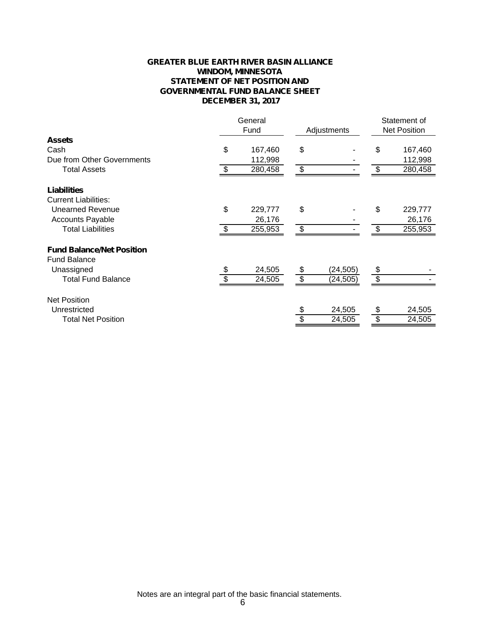#### **GREATER BLUE EARTH RIVER BASIN ALLIANCE WINDOM, MINNESOTA STATEMENT OF NET POSITION AND GOVERNMENTAL FUND BALANCE SHEET DECEMBER 31, 2017**

| General<br>Fund                  |                           | Adjustments |                          | Statement of<br><b>Net Position</b> |    |         |
|----------------------------------|---------------------------|-------------|--------------------------|-------------------------------------|----|---------|
| <b>Assets</b>                    |                           |             |                          |                                     |    |         |
| Cash                             | \$                        | 167,460     | \$                       |                                     | \$ | 167,460 |
| Due from Other Governments       |                           | 112,998     |                          |                                     |    | 112,998 |
| <b>Total Assets</b>              | \$                        | 280,458     | \$                       |                                     | \$ | 280,458 |
| <b>Liabilities</b>               |                           |             |                          |                                     |    |         |
| <b>Current Liabilities:</b>      |                           |             |                          |                                     |    |         |
| <b>Unearned Revenue</b>          | \$                        | 229,777     | \$                       |                                     | \$ | 229,777 |
| <b>Accounts Payable</b>          |                           | 26,176      |                          |                                     |    | 26,176  |
| <b>Total Liabilities</b>         | \$                        | 255,953     | \$                       |                                     | \$ | 255,953 |
| <b>Fund Balance/Net Position</b> |                           |             |                          |                                     |    |         |
| <b>Fund Balance</b>              |                           |             |                          |                                     |    |         |
| Unassigned                       | \$                        | 24,505      | \$                       | (24, 505)                           | \$ |         |
| <b>Total Fund Balance</b>        | $\overline{\mathfrak{s}}$ | 24,505      | $\overline{\$}$          | (24, 505)                           | \$ |         |
| <b>Net Position</b>              |                           |             |                          |                                     |    |         |
| Unrestricted                     |                           |             | \$                       | 24,505                              | \$ | 24,505  |
| <b>Total Net Position</b>        |                           |             | $\overline{\mathcal{S}}$ | 24,505                              | \$ | 24,505  |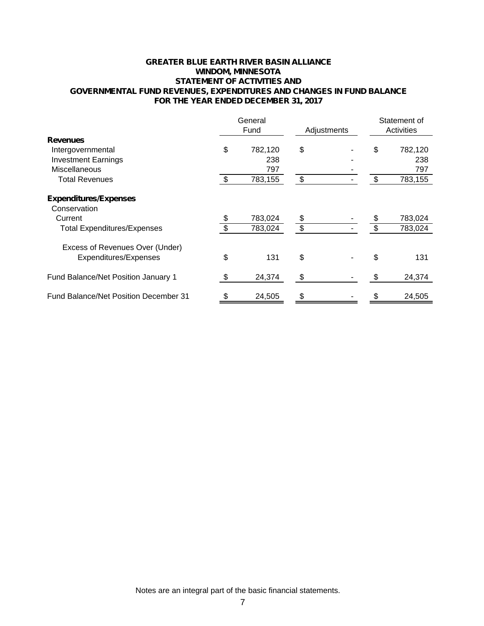#### **GREATER BLUE EARTH RIVER BASIN ALLIANCE WINDOM, MINNESOTA STATEMENT OF ACTIVITIES AND GOVERNMENTAL FUND REVENUES, EXPENDITURES AND CHANGES IN FUND BALANCE FOR THE YEAR ENDED DECEMBER 31, 2017**

| General<br>Fund                              |               | Adjustments |    | Statement of<br>Activities |    |         |
|----------------------------------------------|---------------|-------------|----|----------------------------|----|---------|
| <b>Revenues</b>                              |               |             |    |                            |    |         |
| Intergovernmental                            | \$            | 782,120     | \$ |                            | \$ | 782,120 |
| <b>Investment Earnings</b>                   |               | 238         |    |                            |    | 238     |
| Miscellaneous                                |               | 797         |    |                            |    | 797     |
| <b>Total Revenues</b>                        | $\frac{1}{2}$ | 783,155     | \$ |                            | \$ | 783,155 |
| <b>Expenditures/Expenses</b>                 |               |             |    |                            |    |         |
| Conservation                                 |               |             |    |                            |    |         |
| Current                                      | \$            | 783,024     | \$ |                            |    | 783,024 |
| <b>Total Expenditures/Expenses</b>           | \$            | 783,024     | \$ |                            | \$ | 783,024 |
| Excess of Revenues Over (Under)              |               |             |    |                            |    |         |
| Expenditures/Expenses                        | \$            | 131         | \$ |                            | \$ | 131     |
| Fund Balance/Net Position January 1          | \$            | 24,374      | \$ |                            |    | 24,374  |
| <b>Fund Balance/Net Position December 31</b> | S             | 24,505      | \$ |                            |    | 24,505  |

Notes are an integral part of the basic financial statements.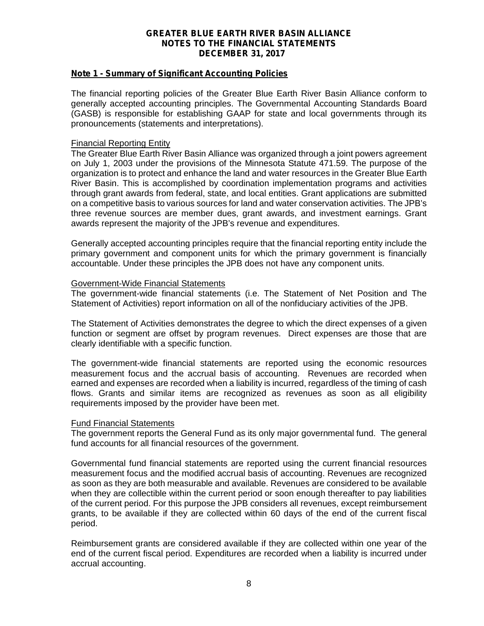## **Note 1 - Summary of Significant Accounting Policies**

The financial reporting policies of the Greater Blue Earth River Basin Alliance conform to generally accepted accounting principles. The Governmental Accounting Standards Board (GASB) is responsible for establishing GAAP for state and local governments through its pronouncements (statements and interpretations).

#### Financial Reporting Entity

The Greater Blue Earth River Basin Alliance was organized through a joint powers agreement on July 1, 2003 under the provisions of the Minnesota Statute 471.59. The purpose of the organization is to protect and enhance the land and water resources in the Greater Blue Earth River Basin. This is accomplished by coordination implementation programs and activities through grant awards from federal, state, and local entities. Grant applications are submitted on a competitive basis to various sources for land and water conservation activities. The JPB's three revenue sources are member dues, grant awards, and investment earnings. Grant awards represent the majority of the JPB's revenue and expenditures.

Generally accepted accounting principles require that the financial reporting entity include the primary government and component units for which the primary government is financially accountable. Under these principles the JPB does not have any component units.

#### Government-Wide Financial Statements

The government-wide financial statements (i.e. The Statement of Net Position and The Statement of Activities) report information on all of the nonfiduciary activities of the JPB.

The Statement of Activities demonstrates the degree to which the direct expenses of a given function or segment are offset by program revenues. Direct expenses are those that are clearly identifiable with a specific function.

The government-wide financial statements are reported using the economic resources measurement focus and the accrual basis of accounting. Revenues are recorded when earned and expenses are recorded when a liability is incurred, regardless of the timing of cash flows. Grants and similar items are recognized as revenues as soon as all eligibility requirements imposed by the provider have been met.

#### Fund Financial Statements

The government reports the General Fund as its only major governmental fund. The general fund accounts for all financial resources of the government.

Governmental fund financial statements are reported using the current financial resources measurement focus and the modified accrual basis of accounting. Revenues are recognized as soon as they are both measurable and available. Revenues are considered to be available when they are collectible within the current period or soon enough thereafter to pay liabilities of the current period. For this purpose the JPB considers all revenues, except reimbursement grants, to be available if they are collected within 60 days of the end of the current fiscal period.

Reimbursement grants are considered available if they are collected within one year of the end of the current fiscal period. Expenditures are recorded when a liability is incurred under accrual accounting.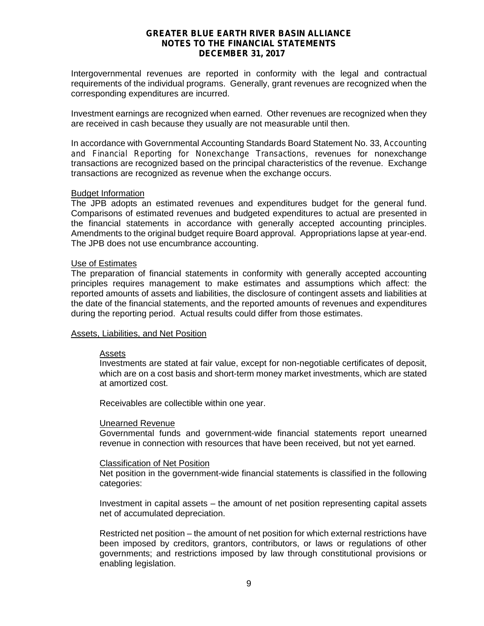Intergovernmental revenues are reported in conformity with the legal and contractual requirements of the individual programs. Generally, grant revenues are recognized when the corresponding expenditures are incurred.

Investment earnings are recognized when earned. Other revenues are recognized when they are received in cash because they usually are not measurable until then.

In accordance with Governmental Accounting Standards Board Statement No. 33, *Accounting and Financial Reporting for Nonexchange Transactions*, revenues for nonexchange transactions are recognized based on the principal characteristics of the revenue. Exchange transactions are recognized as revenue when the exchange occurs.

#### Budget Information

The JPB adopts an estimated revenues and expenditures budget for the general fund. Comparisons of estimated revenues and budgeted expenditures to actual are presented in the financial statements in accordance with generally accepted accounting principles. Amendments to the original budget require Board approval. Appropriations lapse at year-end. The JPB does not use encumbrance accounting.

#### Use of Estimates

The preparation of financial statements in conformity with generally accepted accounting principles requires management to make estimates and assumptions which affect: the reported amounts of assets and liabilities, the disclosure of contingent assets and liabilities at the date of the financial statements, and the reported amounts of revenues and expenditures during the reporting period. Actual results could differ from those estimates.

#### Assets, Liabilities, and Net Position

#### Assets

Investments are stated at fair value, except for non-negotiable certificates of deposit, which are on a cost basis and short-term money market investments, which are stated at amortized cost.

Receivables are collectible within one year.

#### Unearned Revenue

Governmental funds and government-wide financial statements report unearned revenue in connection with resources that have been received, but not yet earned.

#### Classification of Net Position

Net position in the government-wide financial statements is classified in the following categories:

Investment in capital assets – the amount of net position representing capital assets net of accumulated depreciation.

Restricted net position – the amount of net position for which external restrictions have been imposed by creditors, grantors, contributors, or laws or regulations of other governments; and restrictions imposed by law through constitutional provisions or enabling legislation.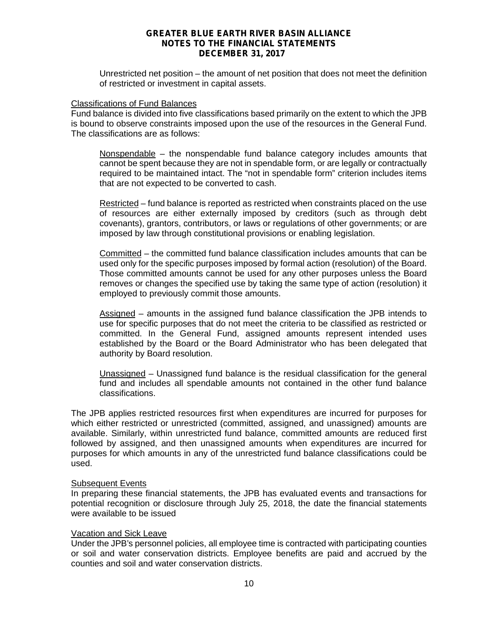Unrestricted net position – the amount of net position that does not meet the definition of restricted or investment in capital assets.

#### Classifications of Fund Balances

Fund balance is divided into five classifications based primarily on the extent to which the JPB is bound to observe constraints imposed upon the use of the resources in the General Fund. The classifications are as follows:

Nonspendable – the nonspendable fund balance category includes amounts that cannot be spent because they are not in spendable form, or are legally or contractually required to be maintained intact. The "not in spendable form" criterion includes items that are not expected to be converted to cash.

Restricted – fund balance is reported as restricted when constraints placed on the use of resources are either externally imposed by creditors (such as through debt covenants), grantors, contributors, or laws or regulations of other governments; or are imposed by law through constitutional provisions or enabling legislation.

Committed – the committed fund balance classification includes amounts that can be used only for the specific purposes imposed by formal action (resolution) of the Board. Those committed amounts cannot be used for any other purposes unless the Board removes or changes the specified use by taking the same type of action (resolution) it employed to previously commit those amounts.

Assigned – amounts in the assigned fund balance classification the JPB intends to use for specific purposes that do not meet the criteria to be classified as restricted or committed. In the General Fund, assigned amounts represent intended uses established by the Board or the Board Administrator who has been delegated that authority by Board resolution.

Unassigned – Unassigned fund balance is the residual classification for the general fund and includes all spendable amounts not contained in the other fund balance classifications.

The JPB applies restricted resources first when expenditures are incurred for purposes for which either restricted or unrestricted (committed, assigned, and unassigned) amounts are available. Similarly, within unrestricted fund balance, committed amounts are reduced first followed by assigned, and then unassigned amounts when expenditures are incurred for purposes for which amounts in any of the unrestricted fund balance classifications could be used.

#### Subsequent Events

In preparing these financial statements, the JPB has evaluated events and transactions for potential recognition or disclosure through July 25, 2018, the date the financial statements were available to be issued

#### Vacation and Sick Leave

Under the JPB's personnel policies, all employee time is contracted with participating counties or soil and water conservation districts. Employee benefits are paid and accrued by the counties and soil and water conservation districts.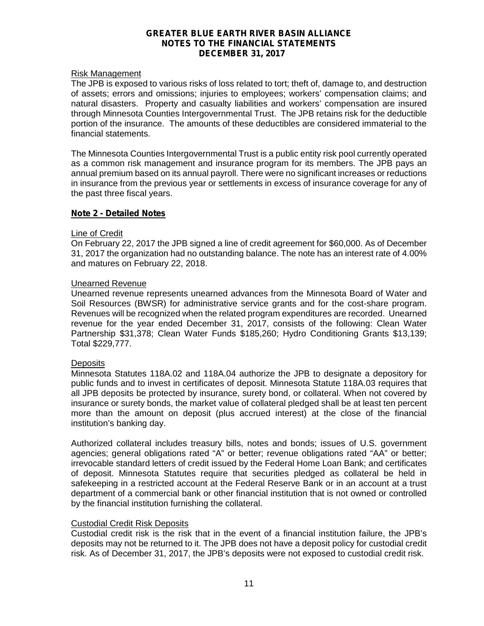#### Risk Management

The JPB is exposed to various risks of loss related to tort; theft of, damage to, and destruction of assets; errors and omissions; injuries to employees; workers' compensation claims; and natural disasters. Property and casualty liabilities and workers' compensation are insured through Minnesota Counties Intergovernmental Trust. The JPB retains risk for the deductible portion of the insurance. The amounts of these deductibles are considered immaterial to the financial statements.

The Minnesota Counties Intergovernmental Trust is a public entity risk pool currently operated as a common risk management and insurance program for its members. The JPB pays an annual premium based on its annual payroll. There were no significant increases or reductions in insurance from the previous year or settlements in excess of insurance coverage for any of the past three fiscal years.

#### **Note 2 - Detailed Notes**

#### Line of Credit

On February 22, 2017 the JPB signed a line of credit agreement for \$60,000. As of December 31, 2017 the organization had no outstanding balance. The note has an interest rate of 4.00% and matures on February 22, 2018.

#### Unearned Revenue

Unearned revenue represents unearned advances from the Minnesota Board of Water and Soil Resources (BWSR) for administrative service grants and for the cost-share program. Revenues will be recognized when the related program expenditures are recorded. Unearned revenue for the year ended December 31, 2017, consists of the following: Clean Water Partnership \$31,378; Clean Water Funds \$185,260; Hydro Conditioning Grants \$13,139; Total \$229,777.

#### **Deposits**

Minnesota Statutes 118A.02 and 118A.04 authorize the JPB to designate a depository for public funds and to invest in certificates of deposit. Minnesota Statute 118A.03 requires that all JPB deposits be protected by insurance, surety bond, or collateral. When not covered by insurance or surety bonds, the market value of collateral pledged shall be at least ten percent more than the amount on deposit (plus accrued interest) at the close of the financial institution's banking day.

Authorized collateral includes treasury bills, notes and bonds; issues of U.S. government agencies; general obligations rated "A" or better; revenue obligations rated "AA" or better; irrevocable standard letters of credit issued by the Federal Home Loan Bank; and certificates of deposit. Minnesota Statutes require that securities pledged as collateral be held in safekeeping in a restricted account at the Federal Reserve Bank or in an account at a trust department of a commercial bank or other financial institution that is not owned or controlled by the financial institution furnishing the collateral.

#### Custodial Credit Risk Deposits

Custodial credit risk is the risk that in the event of a financial institution failure, the JPB's deposits may not be returned to it. The JPB does not have a deposit policy for custodial credit risk. As of December 31, 2017, the JPB's deposits were not exposed to custodial credit risk.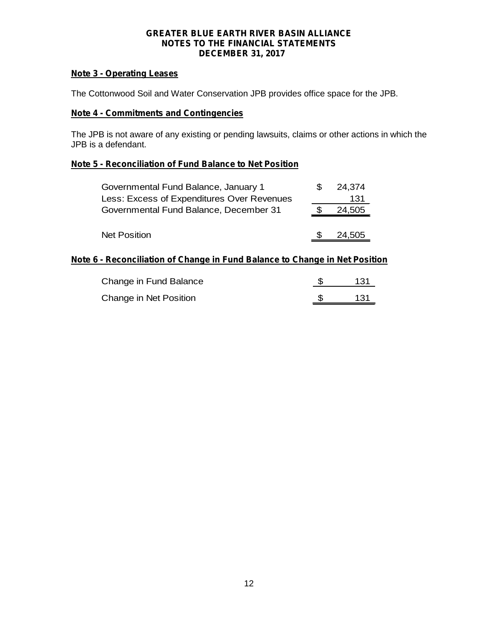## **Note 3 - Operating Leases**

The Cottonwood Soil and Water Conservation JPB provides office space for the JPB.

## **Note 4 - Commitments and Contingencies**

The JPB is not aware of any existing or pending lawsuits, claims or other actions in which the JPB is a defendant.

## **Note 5 - Reconciliation of Fund Balance to Net Position**

| Governmental Fund Balance, January 1       | 24,374 |
|--------------------------------------------|--------|
| Less: Excess of Expenditures Over Revenues | 131    |
| Governmental Fund Balance, December 31     | 24,505 |
|                                            |        |
| <b>Net Position</b>                        | 24,505 |
|                                            |        |

## **Note 6 - Reconciliation of Change in Fund Balance to Change in Net Position**

| Change in Fund Balance | 131 |
|------------------------|-----|
| Change in Net Position | 131 |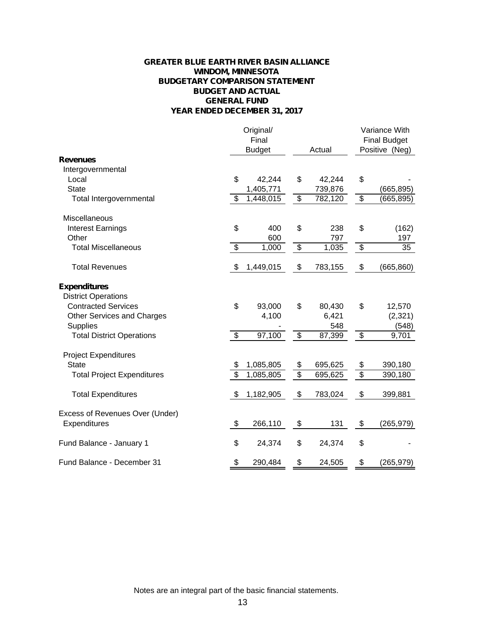#### **GREATER BLUE EARTH RIVER BASIN ALLIANCE WINDOM, MINNESOTA BUDGETARY COMPARISON STATEMENT BUDGET AND ACTUAL GENERAL FUND YEAR ENDED DECEMBER 31, 2017**

|                                   | Original/<br>Final |               |                          |         |                         | Variance With<br><b>Final Budget</b> |
|-----------------------------------|--------------------|---------------|--------------------------|---------|-------------------------|--------------------------------------|
|                                   |                    | <b>Budget</b> |                          | Actual  |                         | Positive (Neg)                       |
| <b>Revenues</b>                   |                    |               |                          |         |                         |                                      |
| Intergovernmental                 |                    |               |                          |         |                         |                                      |
| Local                             | \$                 | 42,244        | \$                       | 42,244  | \$                      |                                      |
| <b>State</b>                      |                    | 1,405,771     |                          | 739,876 |                         | (665, 895)                           |
| Total Intergovernmental           | \$                 | 1,448,015     | \$                       | 782,120 | $\pmb{\mathsf{\$}}$     | (665, 895)                           |
| Miscellaneous                     |                    |               |                          |         |                         |                                      |
| <b>Interest Earnings</b>          | \$                 | 400           | \$                       | 238     | \$                      | (162)                                |
| Other                             |                    | 600           |                          | 797     |                         | 197                                  |
| <b>Total Miscellaneous</b>        | $\overline{\$}$    | 1,000         | $\overline{\mathcal{E}}$ | 1,035   | $\overline{\mathbf{e}}$ | 35                                   |
| <b>Total Revenues</b>             | \$                 | 1,449,015     | \$                       | 783,155 | \$                      | (665, 860)                           |
| <b>Expenditures</b>               |                    |               |                          |         |                         |                                      |
| <b>District Operations</b>        |                    |               |                          |         |                         |                                      |
| <b>Contracted Services</b>        | \$                 | 93,000        | \$                       | 80,430  | \$                      | 12,570                               |
| Other Services and Charges        |                    | 4,100         |                          | 6,421   |                         | (2, 321)                             |
| <b>Supplies</b>                   |                    |               |                          | 548     |                         | (548)                                |
| <b>Total District Operations</b>  | $\overline{\$}$    | 97,100        | $\overline{\$}$          | 87,399  | $\overline{\$}$         | $\overline{9,701}$                   |
| <b>Project Expenditures</b>       |                    |               |                          |         |                         |                                      |
| <b>State</b>                      | \$                 | 1,085,805     | \$                       | 695,625 | \$                      | 390,180                              |
| <b>Total Project Expenditures</b> | \$                 | 1,085,805     | $\overline{\mathcal{E}}$ | 695,625 | $\overline{\$}$         | 390,180                              |
| <b>Total Expenditures</b>         | \$                 | 1,182,905     | \$                       | 783,024 | \$                      | 399,881                              |
| Excess of Revenues Over (Under)   |                    |               |                          |         |                         |                                      |
| Expenditures                      | \$                 | 266,110       | \$                       | 131     | \$                      | (265, 979)                           |
| Fund Balance - January 1          | \$                 | 24,374        | \$                       | 24,374  | \$                      |                                      |
| Fund Balance - December 31        | \$                 | 290,484       | \$                       | 24,505  | \$                      | (265, 979)                           |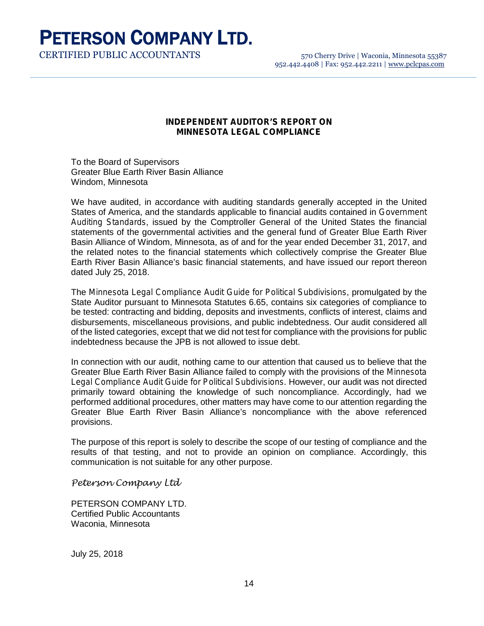# **PETERSON COMPANY LTD.**

## **INDEPENDENT AUDITOR'S REPORT ON MINNESOTA LEGAL COMPLIANCE**

To the Board of Supervisors Greater Blue Earth River Basin Alliance Windom, Minnesota

We have audited, in accordance with auditing standards generally accepted in the United States of America, and the standards applicable to financial audits contained in *Government Auditing Standards*, issued by the Comptroller General of the United States the financial statements of the governmental activities and the general fund of Greater Blue Earth River Basin Alliance of Windom, Minnesota, as of and for the year ended December 31, 2017, and the related notes to the financial statements which collectively comprise the Greater Blue Earth River Basin Alliance's basic financial statements, and have issued our report thereon dated July 25, 2018.

The *Minnesota Legal Compliance Audit Guide for Political Subdivisions*, promulgated by the State Auditor pursuant to Minnesota Statutes 6.65, contains six categories of compliance to be tested: contracting and bidding, deposits and investments, conflicts of interest, claims and disbursements, miscellaneous provisions, and public indebtedness. Our audit considered all of the listed categories, except that we did not test for compliance with the provisions for public indebtedness because the JPB is not allowed to issue debt.

In connection with our audit, nothing came to our attention that caused us to believe that the Greater Blue Earth River Basin Alliance failed to comply with the provisions of the *Minnesota Legal Compliance Audit Guide for Political Subdivisions*. However, our audit was not directed primarily toward obtaining the knowledge of such noncompliance. Accordingly, had we performed additional procedures, other matters may have come to our attention regarding the Greater Blue Earth River Basin Alliance's noncompliance with the above referenced provisions.

The purpose of this report is solely to describe the scope of our testing of compliance and the results of that testing, and not to provide an opinion on compliance. Accordingly, this communication is not suitable for any other purpose.

Peterson Company Ltd

PETERSON COMPANY LTD. Certified Public Accountants Waconia, Minnesota

July 25, 2018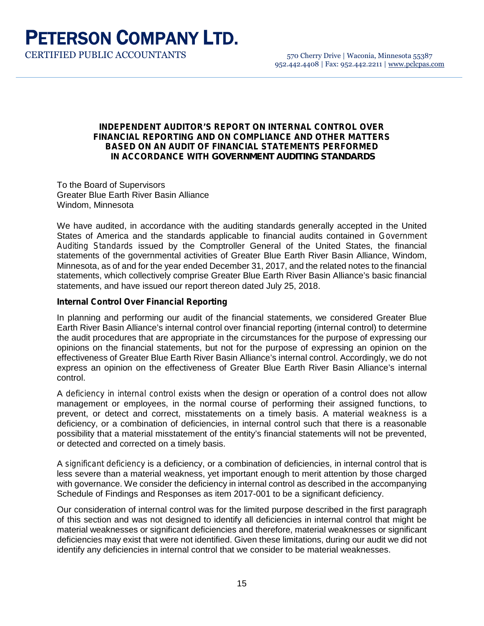# **PETERSON COMPANY LTD.**

## **INDEPENDENT AUDITOR'S REPORT ON INTERNAL CONTROL OVER FINANCIAL REPORTING AND ON COMPLIANCE AND OTHER MATTERS BASED ON AN AUDIT OF FINANCIAL STATEMENTS PERFORMED IN ACCORDANCE WITH** *GOVERNMENT AUDITING STANDARDS*

To the Board of Supervisors Greater Blue Earth River Basin Alliance Windom, Minnesota

We have audited, in accordance with the auditing standards generally accepted in the United States of America and the standards applicable to financial audits contained in *Government Auditing Standards* issued by the Comptroller General of the United States, the financial statements of the governmental activities of Greater Blue Earth River Basin Alliance, Windom, Minnesota, as of and for the year ended December 31, 2017, and the related notes to the financial statements, which collectively comprise Greater Blue Earth River Basin Alliance's basic financial statements, and have issued our report thereon dated July 25, 2018.

## **Internal Control Over Financial Reporting**

In planning and performing our audit of the financial statements, we considered Greater Blue Earth River Basin Alliance's internal control over financial reporting (internal control) to determine the audit procedures that are appropriate in the circumstances for the purpose of expressing our opinions on the financial statements, but not for the purpose of expressing an opinion on the effectiveness of Greater Blue Earth River Basin Alliance's internal control. Accordingly, we do not express an opinion on the effectiveness of Greater Blue Earth River Basin Alliance's internal control.

A *deficiency in internal control* exists when the design or operation of a control does not allow management or employees, in the normal course of performing their assigned functions, to prevent, or detect and correct, misstatements on a timely basis. A material *weakness* is a deficiency, or a combination of deficiencies, in internal control such that there is a reasonable possibility that a material misstatement of the entity's financial statements will not be prevented, or detected and corrected on a timely basis.

A *significant deficiency* is a deficiency, or a combination of deficiencies, in internal control that is less severe than a material weakness, yet important enough to merit attention by those charged with governance. We consider the deficiency in internal control as described in the accompanying Schedule of Findings and Responses as item 2017-001 to be a significant deficiency.

Our consideration of internal control was for the limited purpose described in the first paragraph of this section and was not designed to identify all deficiencies in internal control that might be material weaknesses or significant deficiencies and therefore, material weaknesses or significant deficiencies may exist that were not identified. Given these limitations, during our audit we did not identify any deficiencies in internal control that we consider to be material weaknesses.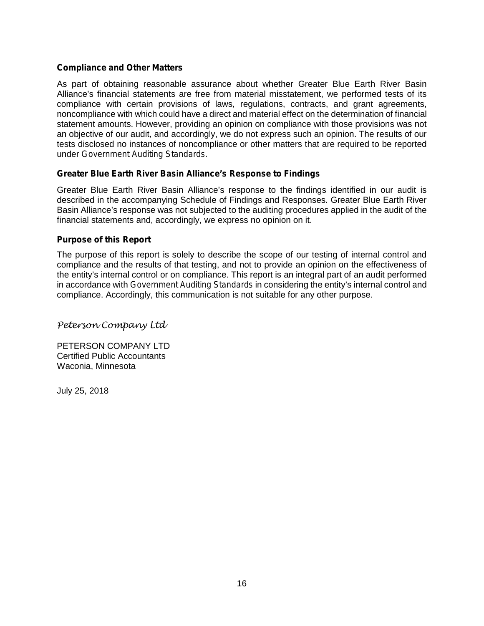## **Compliance and Other Matters**

As part of obtaining reasonable assurance about whether Greater Blue Earth River Basin Alliance's financial statements are free from material misstatement, we performed tests of its compliance with certain provisions of laws, regulations, contracts, and grant agreements, noncompliance with which could have a direct and material effect on the determination of financial statement amounts. However, providing an opinion on compliance with those provisions was not an objective of our audit, and accordingly, we do not express such an opinion. The results of our tests disclosed no instances of noncompliance or other matters that are required to be reported under *Government Auditing Standards.*

#### **Greater Blue Earth River Basin Alliance's Response to Findings**

Greater Blue Earth River Basin Alliance's response to the findings identified in our audit is described in the accompanying Schedule of Findings and Responses. Greater Blue Earth River Basin Alliance's response was not subjected to the auditing procedures applied in the audit of the financial statements and, accordingly, we express no opinion on it.

## **Purpose of this Report**

The purpose of this report is solely to describe the scope of our testing of internal control and compliance and the results of that testing, and not to provide an opinion on the effectiveness of the entity's internal control or on compliance. This report is an integral part of an audit performed in accordance with *Government Auditing Standards* in considering the entity's internal control and compliance. Accordingly, this communication is not suitable for any other purpose.

Peterson Company Ltd

PETERSON COMPANY LTD Certified Public Accountants Waconia, Minnesota

July 25, 2018